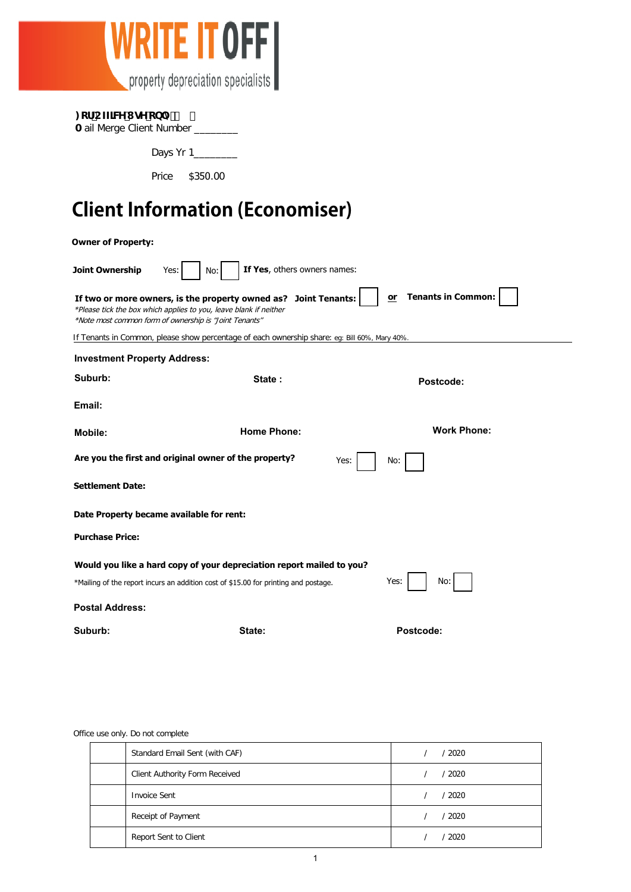

|  |  | : cf CZZJW I gY cb m |  |  |
|--|--|----------------------|--|--|
|--|--|----------------------|--|--|

| A ail Merge Client Number |  |  |
|---------------------------|--|--|
|---------------------------|--|--|

Days Yr 1\_\_\_\_\_\_\_\_

Price \$350.00

## **Client Information (Economiser)**

| <b>Owner of Property:</b>                                                                          |                                                                                                                                                                                                |                                 |  |  |  |
|----------------------------------------------------------------------------------------------------|------------------------------------------------------------------------------------------------------------------------------------------------------------------------------------------------|---------------------------------|--|--|--|
| Joint Ownership                                                                                    | If Yes, others owners names:<br>No:<br>Yes:                                                                                                                                                    |                                 |  |  |  |
|                                                                                                    | If two or more owners, is the property owned as? Joint Tenants:<br>*Please tick the box which applies to you, leave blank if neither<br>*Note most common form of ownership is "Joint Tenants" | <b>Tenants in Common:</b><br>or |  |  |  |
|                                                                                                    | If Tenants in Common, please show percentage of each ownership share: eg: Bill 60%, Mary 40%.                                                                                                  |                                 |  |  |  |
| <b>Investment Property Address:</b>                                                                |                                                                                                                                                                                                |                                 |  |  |  |
| Suburb:                                                                                            | State:                                                                                                                                                                                         | Postcode:                       |  |  |  |
| Email:                                                                                             |                                                                                                                                                                                                |                                 |  |  |  |
| <b>Mobile:</b>                                                                                     | <b>Home Phone:</b>                                                                                                                                                                             | <b>Work Phone:</b>              |  |  |  |
| Are you the first and original owner of the property?<br>Yes:<br>No:                               |                                                                                                                                                                                                |                                 |  |  |  |
| <b>Settlement Date:</b>                                                                            |                                                                                                                                                                                                |                                 |  |  |  |
| Date Property became available for rent:                                                           |                                                                                                                                                                                                |                                 |  |  |  |
| <b>Purchase Price:</b>                                                                             |                                                                                                                                                                                                |                                 |  |  |  |
| Would you like a hard copy of your depreciation report mailed to you?                              |                                                                                                                                                                                                |                                 |  |  |  |
| Yes:<br>No:<br>*Mailing of the report incurs an addition cost of \$15.00 for printing and postage. |                                                                                                                                                                                                |                                 |  |  |  |
| <b>Postal Address:</b>                                                                             |                                                                                                                                                                                                |                                 |  |  |  |
| Suburb:                                                                                            | State:                                                                                                                                                                                         | Postcode:                       |  |  |  |

#### Office use only. Do not complete

| Standard Email Sent (with CAF) | / 2020   |
|--------------------------------|----------|
| Client Authority Form Received | / 2020   |
| <b>Invoice Sent</b>            | $'$ 2020 |
| Receipt of Payment             | / 2020   |
| Report Sent to Client          | $'$ 2020 |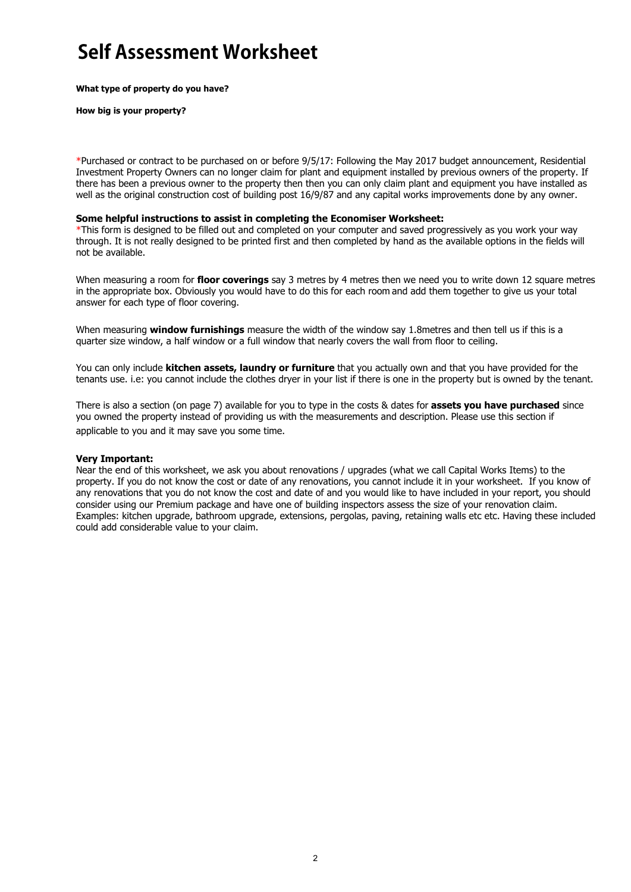## **Self Assessment Worksheet**

**What type of property do you have?**

**How big is your property?**

\*Purchased or contract to be purchased on or before 9/5/17: Following the May 2017 budget announcement, Residential Investment Property Owners can no longer claim for plant and equipment installed by previous owners of the property. If there has been a previous owner to the property then then you can only claim plant and equipment you have installed as well as the original construction cost of building post 16/9/87 and any capital works improvements done by any owner.

#### **Some helpful instructions to assist in completing the Economiser Worksheet:**

\*This form is designed to be filled out and completed on your computer and saved progressively as you work your way through. It is not really designed to be printed first and then completed by hand as the available options in the fields will not be available.

When measuring a room for **floor coverings** say 3 metres by 4 metres then we need you to write down 12 square metres in the appropriate box. Obviously you would have to do this for each room and add them together to give us your total answer for each type of floor covering.

When measuring **window furnishings** measure the width of the window say 1.8metres and then tell us if this is a quarter size window, a half window or a full window that nearly covers the wall from floor to ceiling.

You can only include **kitchen assets, laundry or furniture** that you actually own and that you have provided for the tenants use. i.e: you cannot include the clothes dryer in your list if there is one in the property but is owned by the tenant.

There is also a section (on page 7) available for you to type in the costs & dates for **assets you have purchased** since you owned the property instead of providing us with the measurements and description. Please use this section if applicable to you and it may save you some time.

#### **Very Important:**

Near the end of this worksheet, we ask you about renovations / upgrades (what we call Capital Works Items) to the property. If you do not know the cost or date of any renovations, you cannot include it in your worksheet. If you know of any renovations that you do not know the cost and date of and you would like to have included in your report, you should consider using our Premium package and have one of building inspectors assess the size of your renovation claim. Examples: kitchen upgrade, bathroom upgrade, extensions, pergolas, paving, retaining walls etc etc. Having these included could add considerable value to your claim.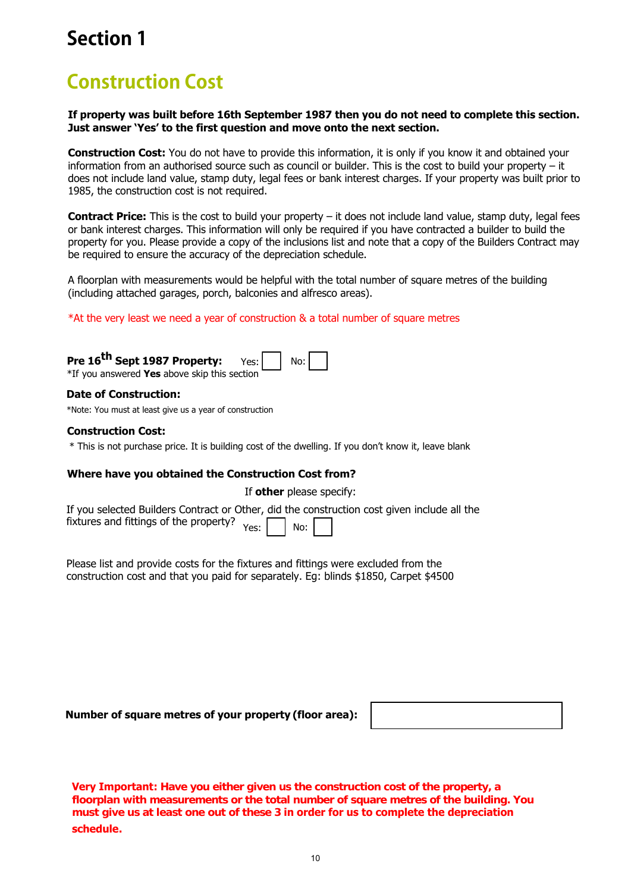## **Construction Cost**

**If property was built before 16th September 1987 then you do not need to complete this section. Just answer 'Yes' to the first question and move onto the next section.**

**Construction Cost:** You do not have to provide this information, it is only if you know it and obtained your information from an authorised source such as council or builder. This is the cost to build your property – it does not include land value, stamp duty, legal fees or bank interest charges. If your property was built prior to 1985, the construction cost is not required.

**Contract Price:** This is the cost to build your property – it does not include land value, stamp duty, legal fees or bank interest charges. This information will only be required if you have contracted a builder to build the property for you. Please provide a copy of the inclusions list and note that a copy of the Builders Contract may be required to ensure the accuracy of the depreciation schedule.

A floorplan with measurements would be helpful with the total number of square metres of the building (including attached garages, porch, balconies and alfresco areas).

\*At the very least we need a year of construction & a total number of square metres

**Pre 16 th Sept 1987 Property:** \*If you answered **Yes** above skip this section Yes: No:

#### **Date of Construction:**

\*Note: You must at least give us a year of construction

#### **Construction Cost:**

\* This is not purchase price. It is building cost of the dwelling. If you don't know it, leave blank

#### **Where have you obtained the Construction Cost from?**

If **other** please specify:

| If you selected Builders Contract or Other, did the construction cost given include all the |  |  |  |
|---------------------------------------------------------------------------------------------|--|--|--|
| <i>i</i> ixtures and fittings of the property? $Y_{\text{ess}}$ and $\boxed{1}$             |  |  |  |

Please list and provide costs for the fixtures and fittings were excluded from the construction cost and that you paid for separately. Eg: blinds \$1850, Carpet \$4500

**Number of square metres of your property (floor area):**

**Very Important: Have you either given us the construction cost of the property, a floorplan with measurements or the total number of square metres of the building. You must give us at least one out of these 3 in order for us to complete the depreciation schedule.**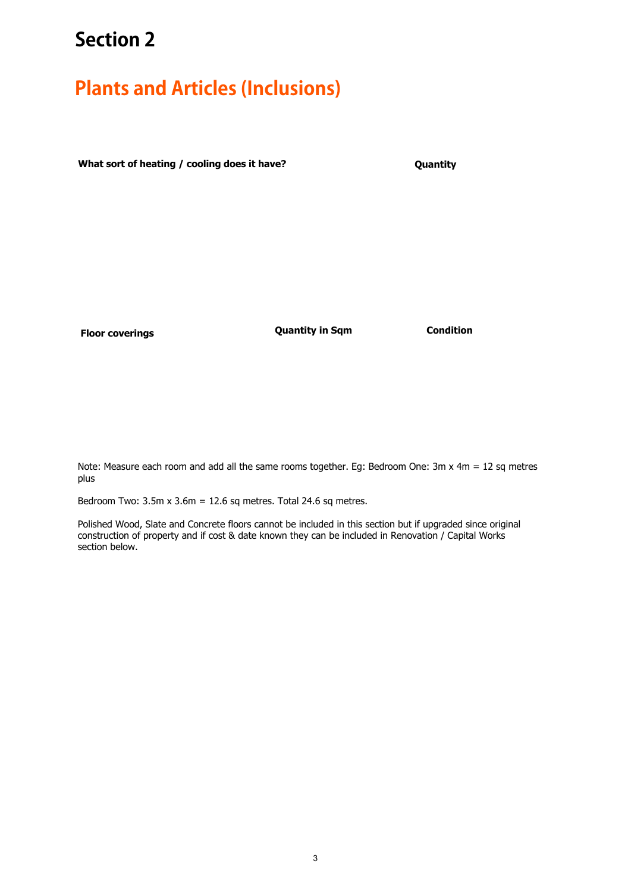### **Plants and Articles (Inclusions)**

**What sort of heating / cooling does it have?**

**Quantity**

**Floor coverings Quantity in Sqm Condition**

Note: Measure each room and add all the same rooms together. Eg: Bedroom One: 3m x 4m = 12 sq metres plus

Bedroom Two:  $3.5m \times 3.6m = 12.6$  sq metres. Total 24.6 sq metres.

Type construction of property and if cost & date known they can be included in Renovation / Capital Works section below. Polished Wood, Slate and Concrete floors cannot be included in this section but if upgraded since original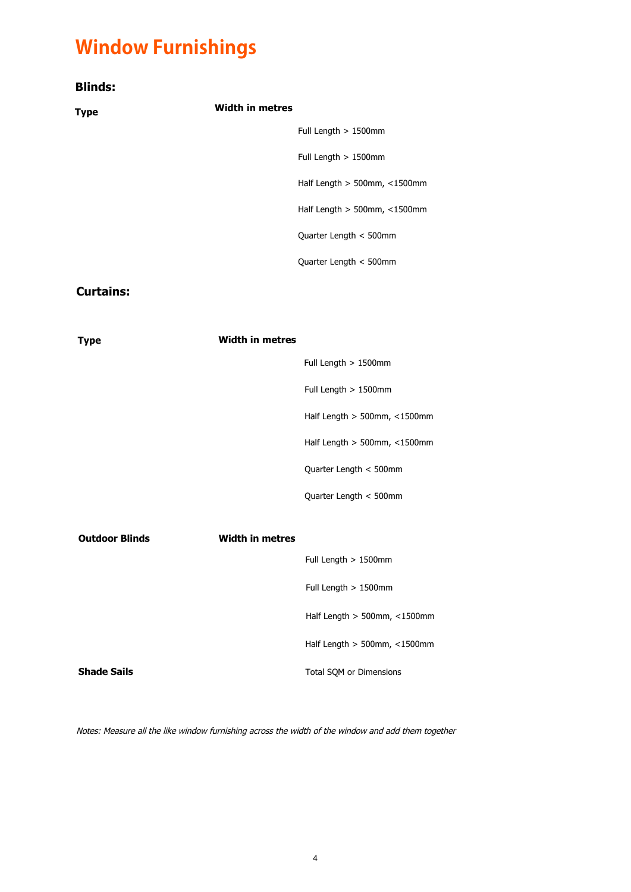# **Window Furnishings**

| <b>Blinds:</b> |                                    |
|----------------|------------------------------------|
| <b>Type</b>    | <b>Width in metres</b>             |
|                | Full Length $> 1500$ mm            |
|                | Full Length $> 1500$ mm            |
|                | Half Length $> 500$ mm, $<$ 1500mm |
|                | Half Length $> 500$ mm, $<$ 1500mm |
|                | Quarter Length < 500mm             |
|                | Quarter Length < 500mm             |
|                |                                    |

#### **Curtains:**

| <b>Type</b>           | <b>Width in metres</b> |                                    |
|-----------------------|------------------------|------------------------------------|
|                       |                        | Full Length $> 1500$ mm            |
|                       |                        | Full Length > 1500mm               |
|                       |                        | Half Length $> 500$ mm, $<$ 1500mm |
|                       |                        | Half Length $> 500$ mm, $<$ 1500mm |
|                       |                        | Quarter Length < 500mm             |
|                       |                        | Quarter Length < 500mm             |
| <b>Outdoor Blinds</b> | <b>Width in metres</b> |                                    |
|                       |                        | Full Length $> 1500$ mm            |
|                       |                        | Full Length > 1500mm               |
|                       |                        | Half Length $> 500$ mm, $<$ 1500mm |
|                       |                        | Half Length $> 500$ mm, $<$ 1500mm |
| <b>Shade Sails</b>    |                        | Total SQM or Dimensions            |

Notes: Measure all the like window furnishing across the width of the window and add them together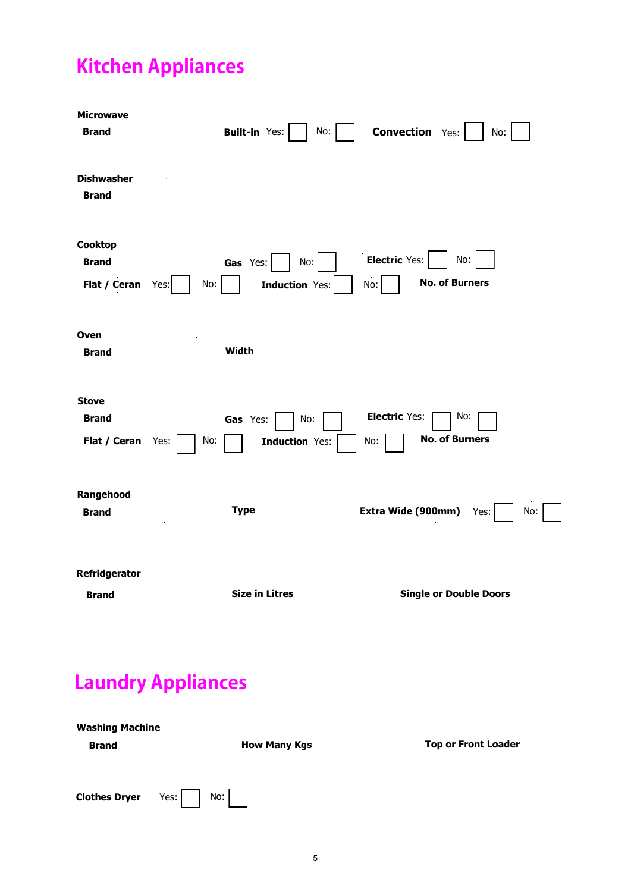# **Kitchen Appliances**

| <b>Microwave</b><br><b>Brand</b>             | <b>Built-in Yes:</b><br>No:                      | <b>Convection Yes:</b><br>No:                               |
|----------------------------------------------|--------------------------------------------------|-------------------------------------------------------------|
| <b>Dishwasher</b><br><b>Brand</b>            |                                                  |                                                             |
| Cooktop<br><b>Brand</b><br>Flat / Ceran      | Gas Yes:<br>No:<br>No:<br>Induction Yes:<br>Yes: | <b>Electric Yes:</b><br>No:<br><b>No. of Burners</b><br>No: |
| Oven<br><b>Brand</b>                         | Width                                            |                                                             |
| <b>Stove</b><br><b>Brand</b><br>Flat / Ceran | No:<br>Gas Yes:<br>Induction Yes:<br>No:<br>Yes: | <b>Electric Yes:</b><br>No:<br><b>No. of Burners</b><br>No: |
| Rangehood<br><b>Brand</b>                    | <b>Type</b>                                      | Extra Wide (900mm)<br>Yes:<br>No:                           |
| <b>Refridgerator</b><br><b>Brand</b>         | <b>Size in Litres</b>                            | <b>Single or Double Doors</b>                               |
|                                              | <b>Laundry Appliances</b>                        |                                                             |

| <b>Washing Machine</b> |                     | $\sim$                     |
|------------------------|---------------------|----------------------------|
| <b>Brand</b>           | <b>How Many Kgs</b> | <b>Top or Front Loader</b> |
|                        |                     |                            |
| <b>Clothes Dryer</b>   | No:<br>Yes: $\vert$ |                            |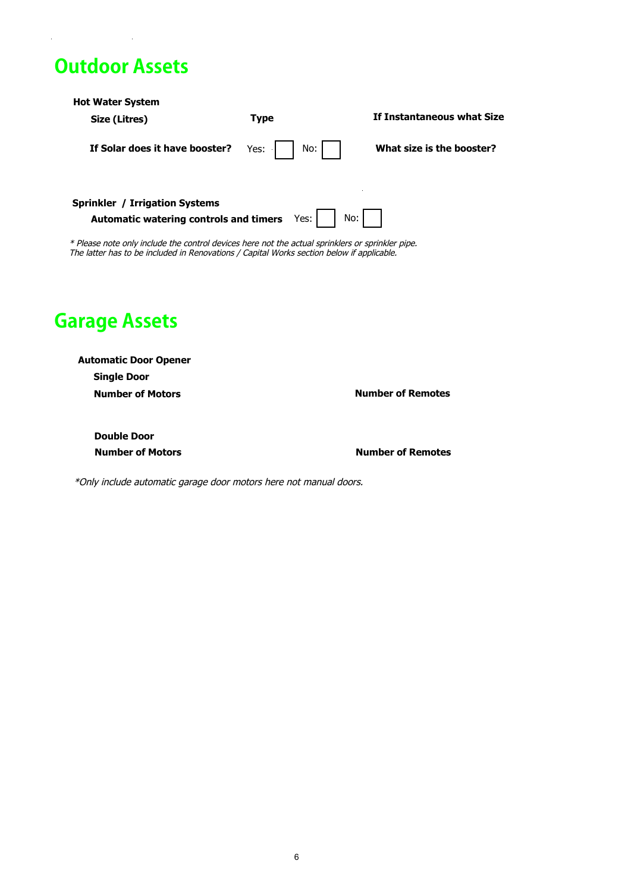### **Outdoor Assets**

| <b>Hot Water System</b><br>Size (Litres)                                                                                                                                                      | <b>Type</b> | If Instantaneous what Size |
|-----------------------------------------------------------------------------------------------------------------------------------------------------------------------------------------------|-------------|----------------------------|
| If Solar does it have booster?                                                                                                                                                                | No:<br>Yes: | What size is the booster?  |
| <b>Sprinkler / Irrigation Systems</b><br>Automatic watering controls and timers                                                                                                               | Yes:        | No:                        |
| * Please note only include the control devices here not the actual sprinklers or sprinkler pipe.<br>The latter has to be included in Renovations / Capital Works section below if applicable. |             |                            |
| <b>Garage Assets</b>                                                                                                                                                                          |             |                            |

**Automatic Door Opener Number of Motors Single Door**

**Number of Remotes** 

**Double Door** 

**Number of Motors Number of Remotes** 

\*Only include automatic garage door motors here not manual doors.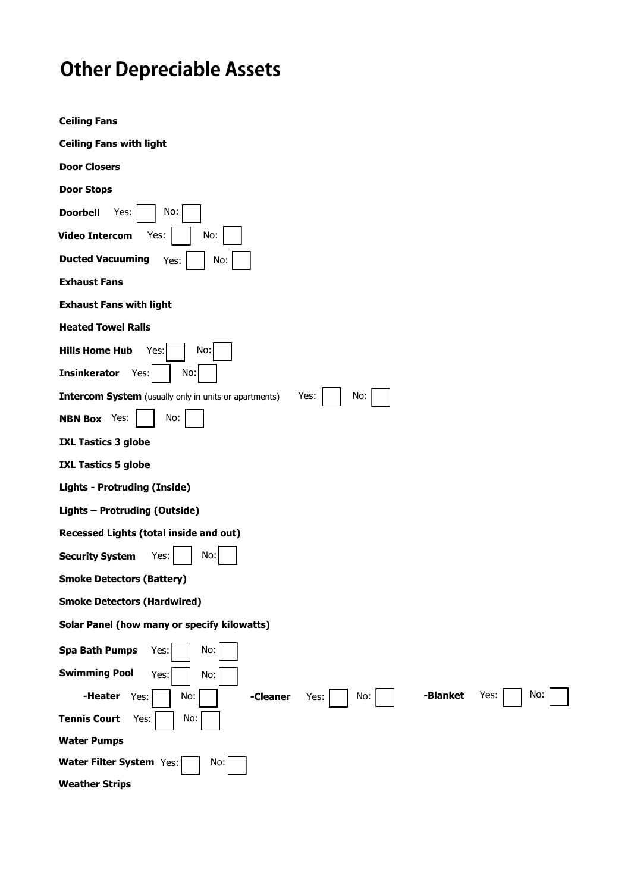# **Other Depreciable Assets**

| <b>Ceiling Fans</b>                                                          |
|------------------------------------------------------------------------------|
| <b>Ceiling Fans with light</b>                                               |
| <b>Door Closers</b>                                                          |
| <b>Door Stops</b>                                                            |
| <b>Doorbell</b><br>Yes:<br>No:                                               |
| <b>Video Intercom</b><br>Yes:<br>No:                                         |
| <b>Ducted Vacuuming</b><br>No:<br>Yes:                                       |
| <b>Exhaust Fans</b>                                                          |
| <b>Exhaust Fans with light</b>                                               |
| <b>Heated Towel Rails</b>                                                    |
| <b>Hills Home Hub</b><br>No:<br>Yes:                                         |
| No:<br><b>Insinkerator</b><br>Yes:                                           |
| Intercom System (usually only in units or apartments)<br>No:<br>Yes:         |
| No:<br><b>NBN Box</b> Yes:                                                   |
| <b>IXL Tastics 3 globe</b>                                                   |
| <b>IXL Tastics 5 globe</b>                                                   |
| <b>Lights - Protruding (Inside)</b>                                          |
| Lights - Protruding (Outside)                                                |
| Recessed Lights (total inside and out)                                       |
| No:<br><b>Security System</b><br>Yes:                                        |
| <b>Smoke Detectors (Battery)</b>                                             |
| <b>Smoke Detectors (Hardwired)</b>                                           |
| Solar Panel (how many or specify kilowatts)                                  |
| <b>Spa Bath Pumps</b><br>No:<br>Yes:                                         |
| <b>Swimming Pool</b><br>No:<br>Yes:                                          |
| -Blanket<br>No:<br>Yes:<br>-Heater<br>No:<br>Yes:<br>-Cleaner<br>Yes:<br>No: |
| No:<br><b>Tennis Court</b><br>Yes:                                           |
| <b>Water Pumps</b>                                                           |
| Water Filter System Yes:<br>No:                                              |
| <b>Weather Strips</b>                                                        |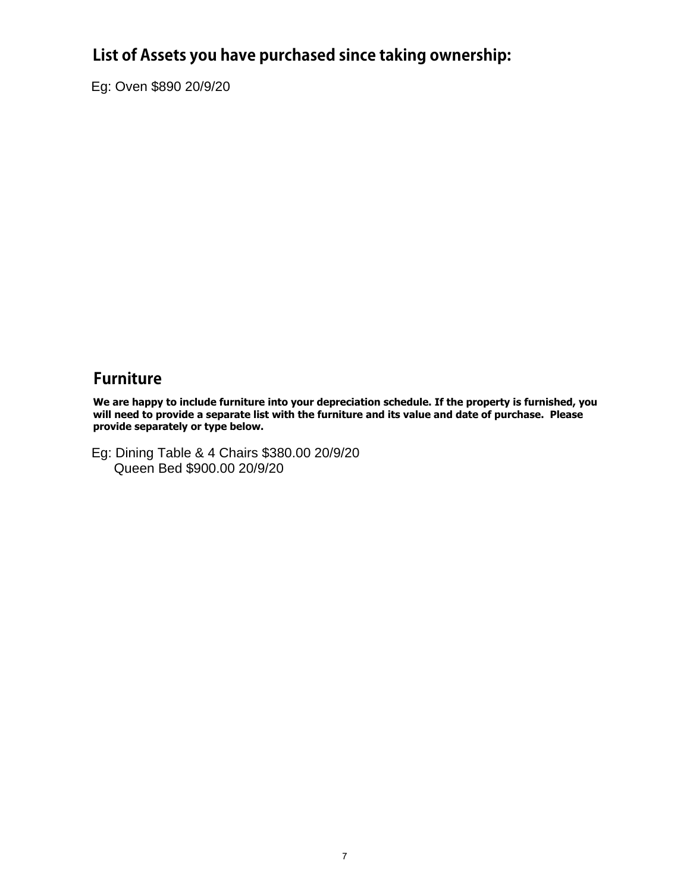#### **List of Assets you have purchased since taking ownership:**

Eg: Oven \$890 20/9/20

#### **Furniture**

**We are happy to include furniture into your depreciation schedule. If the property is furnished, you will need to provide a separate list with the furniture and its value and date of purchase. Please provide separately or type below.**

Eg: Dining Table & 4 Chairs \$380.00 20/9/20 Queen Bed \$900.00 20/9/20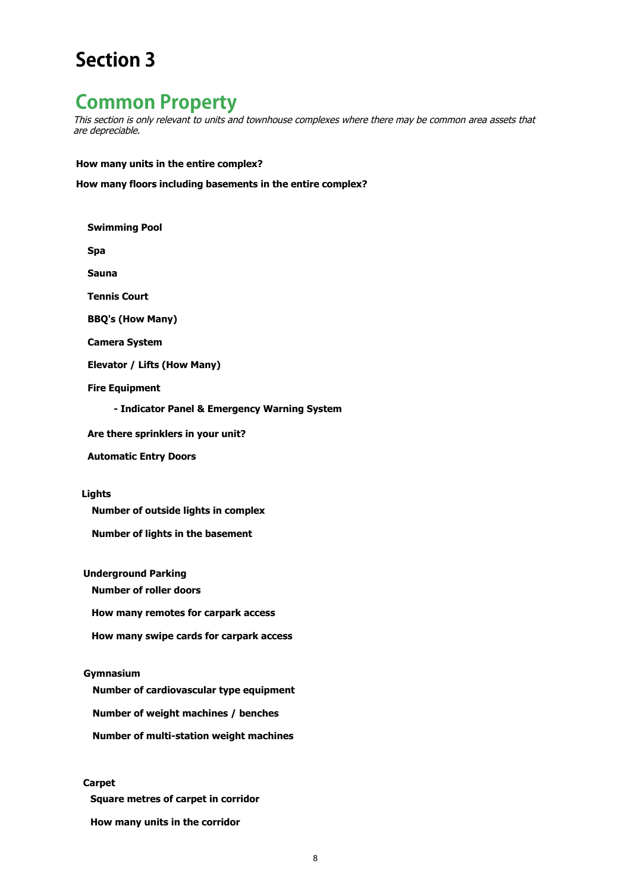#### **Common Property**

This section is only relevant to units and townhouse complexes where there may be common area assets that are depreciable.

**How many units in the entire complex?**

**How many floors including basements in the entire complex?**

**Swimming Pool**

**Spa** 

**Sauna**

**Tennis Court**

**BBQ's (How Many)**

**Camera System**

**Elevator / Lifts (How Many)**

**Fire Equipment**

**- Indicator Panel & Emergency Warning System**

- **Are there sprinklers in your unit?**
- **Automatic Entry Doors**

**Lights**

**Number of outside lights in complex**

**Number of lights in the basement**

**Underground Parking**

**Number of roller doors** 

**How many remotes for carpark access** 

**How many swipe cards for carpark access** 

**Gymnasium**

**Number of cardiovascular type equipment** 

**Number of weight machines / benches** 

**Number of multi-station weight machines** 

#### **Carpet**

**Square metres of carpet in corridor** 

**How many units in the corridor**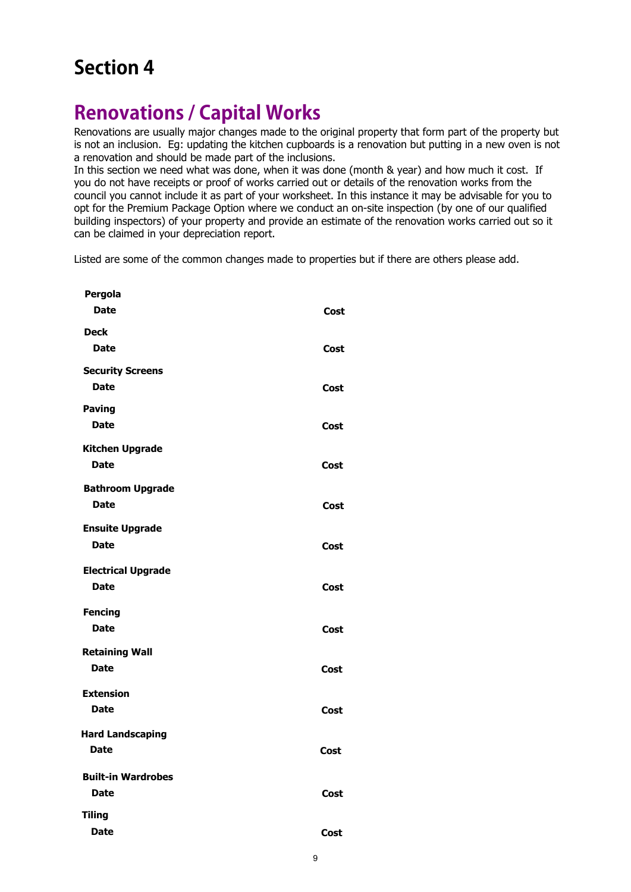#### **Renovations / Capital Works**

Renovations are usually major changes made to the original property that form part of the property but is not an inclusion. Eg: updating the kitchen cupboards is a renovation but putting in a new oven is not a renovation and should be made part of the inclusions.

In this section we need what was done, when it was done (month & year) and how much it cost. If you do not have receipts or proof of works carried out or details of the renovation works from the council you cannot include it as part of your worksheet. In this instance it may be advisable for you to opt for the Premium Package Option where we conduct an on-site inspection (by one of our qualified building inspectors) of your property and provide an estimate of the renovation works carried out so it can be claimed in your depreciation report.

Listed are some of the common changes made to properties but if there are others please add.

| Pergola<br><b>Date</b>                   | Cost |
|------------------------------------------|------|
| <b>Deck</b><br><b>Date</b>               |      |
| <b>Security Screens</b>                  | Cost |
| <b>Date</b>                              | Cost |
| <b>Paving</b><br><b>Date</b>             | Cost |
| <b>Kitchen Upgrade</b>                   |      |
| <b>Date</b><br><b>Bathroom Upgrade</b>   | Cost |
| <b>Date</b>                              | Cost |
| <b>Ensuite Upgrade</b><br><b>Date</b>    | Cost |
| <b>Electrical Upgrade</b><br><b>Date</b> | Cost |
| <b>Fencing</b>                           |      |
| <b>Date</b>                              | Cost |
| <b>Retaining Wall</b><br><b>Date</b>     | Cost |
| <b>Extension</b><br><b>Date</b>          | Cost |
| <b>Hard Landscaping</b>                  |      |
| <b>Date</b>                              | Cost |
| <b>Built-in Wardrobes</b><br><b>Date</b> | Cost |
| <b>Tiling</b>                            |      |
| <b>Date</b>                              | Cost |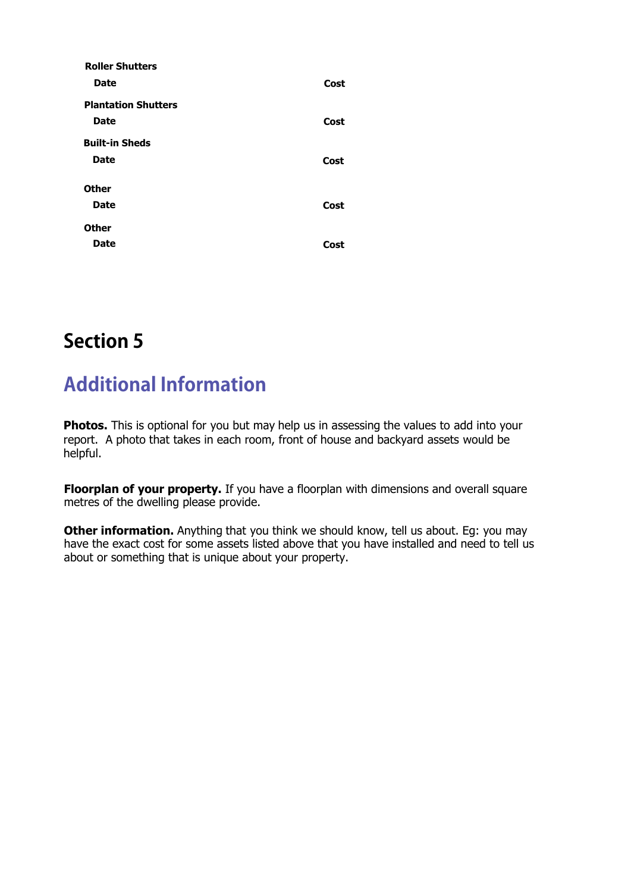| <b>Roller Shutters</b>     |      |
|----------------------------|------|
| <b>Date</b>                | Cost |
| <b>Plantation Shutters</b> |      |
| <b>Date</b>                | Cost |
| <b>Built-in Sheds</b>      |      |
| <b>Date</b>                | Cost |
| <b>Other</b>               |      |
| <b>Date</b>                | Cost |
|                            |      |
| <b>Other</b>               |      |
| <b>Date</b>                | Cost |

### **Additional Information**

**Photos.** This is optional for you but may help us in assessing the values to add into your report. A photo that takes in each room, front of house and backyard assets would be helpful.

**Floorplan of your property.** If you have a floorplan with dimensions and overall square metres of the dwelling please provide.

**Other information.** Anything that you think we should know, tell us about. Eq: you may have the exact cost for some assets listed above that you have installed and need to tell us about or something that is unique about your property.